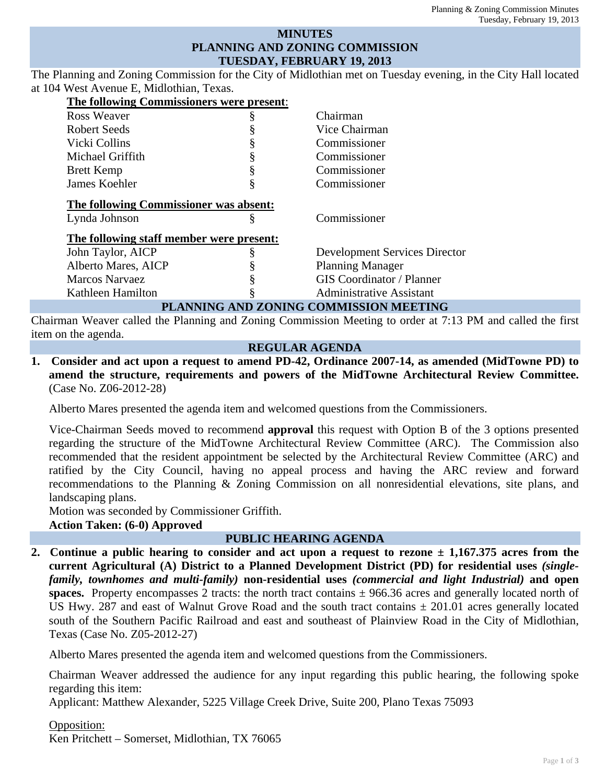### **MINUTES PLANNING AND ZONING COMMISSION TUESDAY, FEBRUARY 19, 2013**

The Planning and Zoning Commission for the City of Midlothian met on Tuesday evening, in the City Hall located at 104 West Avenue E, Midlothian, Texas.

| The following Commissioners were present: |   |                                      |
|-------------------------------------------|---|--------------------------------------|
| Ross Weaver                               | ş | Chairman                             |
| Robert Seeds                              |   | Vice Chairman                        |
| Vicki Collins                             |   | Commissioner                         |
| Michael Griffith                          |   | Commissioner                         |
| <b>Brett Kemp</b>                         | § | Commissioner                         |
| James Koehler                             | § | Commissioner                         |
| The following Commissioner was absent:    |   |                                      |
| Lynda Johnson                             | § | Commissioner                         |
| The following staff member were present:  |   |                                      |
| John Taylor, AICP                         |   | <b>Development Services Director</b> |
| Alberto Mares, AICP                       |   | <b>Planning Manager</b>              |
| <b>Marcos Narvaez</b>                     |   | <b>GIS Coordinator / Planner</b>     |
| Kathleen Hamilton                         |   | <b>Administrative Assistant</b>      |
| PLANNING AND ZONING COMMISSION MEETING    |   |                                      |

Chairman Weaver called the Planning and Zoning Commission Meeting to order at 7:13 PM and called the first item on the agenda.

#### **REGULAR AGENDA**

**1. Consider and act upon a request to amend PD-42, Ordinance 2007-14, as amended (MidTowne PD) to amend the structure, requirements and powers of the MidTowne Architectural Review Committee.** (Case No. Z06-2012-28)

Alberto Mares presented the agenda item and welcomed questions from the Commissioners.

Vice-Chairman Seeds moved to recommend **approval** this request with Option B of the 3 options presented regarding the structure of the MidTowne Architectural Review Committee (ARC). The Commission also recommended that the resident appointment be selected by the Architectural Review Committee (ARC) and ratified by the City Council, having no appeal process and having the ARC review and forward recommendations to the Planning & Zoning Commission on all nonresidential elevations, site plans, and landscaping plans.

Motion was seconded by Commissioner Griffith. **Action Taken: (6-0) Approved**

### **PUBLIC HEARING AGENDA**

**2. Continue a public hearing to consider and act upon a request to rezone ± 1,167.375 acres from the current Agricultural (A) District to a Planned Development District (PD) for residential uses** *(singlefamily, townhomes and multi-family)* **non-residential uses** *(commercial and light Industrial)* **and open spaces.** Property encompasses 2 tracts: the north tract contains *±* 966.36 acres and generally located north of US Hwy. 287 and east of Walnut Grove Road and the south tract contains *±* 201.01 acres generally located south of the Southern Pacific Railroad and east and southeast of Plainview Road in the City of Midlothian, Texas (Case No. Z05-2012-27)

Alberto Mares presented the agenda item and welcomed questions from the Commissioners.

Chairman Weaver addressed the audience for any input regarding this public hearing, the following spoke regarding this item:

Applicant: Matthew Alexander, 5225 Village Creek Drive, Suite 200, Plano Texas 75093

Opposition:

Ken Pritchett – Somerset, Midlothian, TX 76065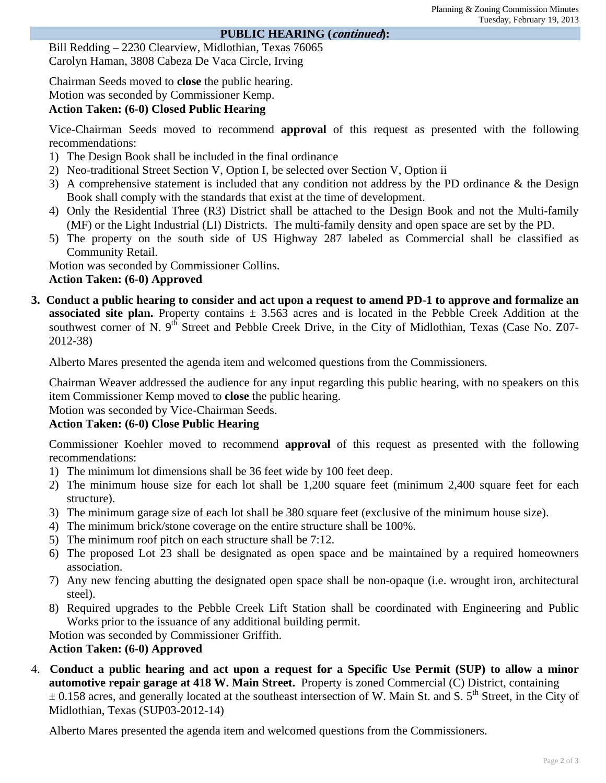#### **PUBLIC HEARING (continued):**

Bill Redding – 2230 Clearview, Midlothian, Texas 76065 Carolyn Haman, 3808 Cabeza De Vaca Circle, Irving

Chairman Seeds moved to **close** the public hearing.

# Motion was seconded by Commissioner Kemp.

# **Action Taken: (6-0) Closed Public Hearing**

Vice-Chairman Seeds moved to recommend **approval** of this request as presented with the following recommendations:

- 1) The Design Book shall be included in the final ordinance
- 2) Neo-traditional Street Section V, Option I, be selected over Section V, Option ii
- 3) A comprehensive statement is included that any condition not address by the PD ordinance & the Design Book shall comply with the standards that exist at the time of development.
- 4) Only the Residential Three (R3) District shall be attached to the Design Book and not the Multi-family (MF) or the Light Industrial (LI) Districts. The multi-family density and open space are set by the PD.
- 5) The property on the south side of US Highway 287 labeled as Commercial shall be classified as Community Retail.

Motion was seconded by Commissioner Collins.

## **Action Taken: (6-0) Approved**

**3. Conduct a public hearing to consider and act upon a request to amend PD-1 to approve and formalize an associated site plan.** Property contains  $\pm$  3.563 acres and is located in the Pebble Creek Addition at the southwest corner of N. 9<sup>th</sup> Street and Pebble Creek Drive, in the City of Midlothian, Texas (Case No. Z07-2012-38)

Alberto Mares presented the agenda item and welcomed questions from the Commissioners.

Chairman Weaver addressed the audience for any input regarding this public hearing, with no speakers on this item Commissioner Kemp moved to **close** the public hearing.

Motion was seconded by Vice-Chairman Seeds.

# **Action Taken: (6-0) Close Public Hearing**

Commissioner Koehler moved to recommend **approval** of this request as presented with the following recommendations:

- 1) The minimum lot dimensions shall be 36 feet wide by 100 feet deep.
- 2) The minimum house size for each lot shall be 1,200 square feet (minimum 2,400 square feet for each structure).
- 3) The minimum garage size of each lot shall be 380 square feet (exclusive of the minimum house size).
- 4) The minimum brick/stone coverage on the entire structure shall be 100%.
- 5) The minimum roof pitch on each structure shall be 7:12.
- 6) The proposed Lot 23 shall be designated as open space and be maintained by a required homeowners association.
- 7) Any new fencing abutting the designated open space shall be non-opaque (i.e. wrought iron, architectural steel).
- 8) Required upgrades to the Pebble Creek Lift Station shall be coordinated with Engineering and Public Works prior to the issuance of any additional building permit.

Motion was seconded by Commissioner Griffith.

## **Action Taken: (6-0) Approved**

4. **Conduct a public hearing and act upon a request for a Specific Use Permit (SUP) to allow a minor automotive repair garage at 418 W. Main Street.** Property is zoned Commercial (C) District, containing  $\pm$  0.158 acres, and generally located at the southeast intersection of W. Main St. and S. 5<sup>th</sup> Street, in the City of Midlothian, Texas (SUP03-2012-14)

Alberto Mares presented the agenda item and welcomed questions from the Commissioners.